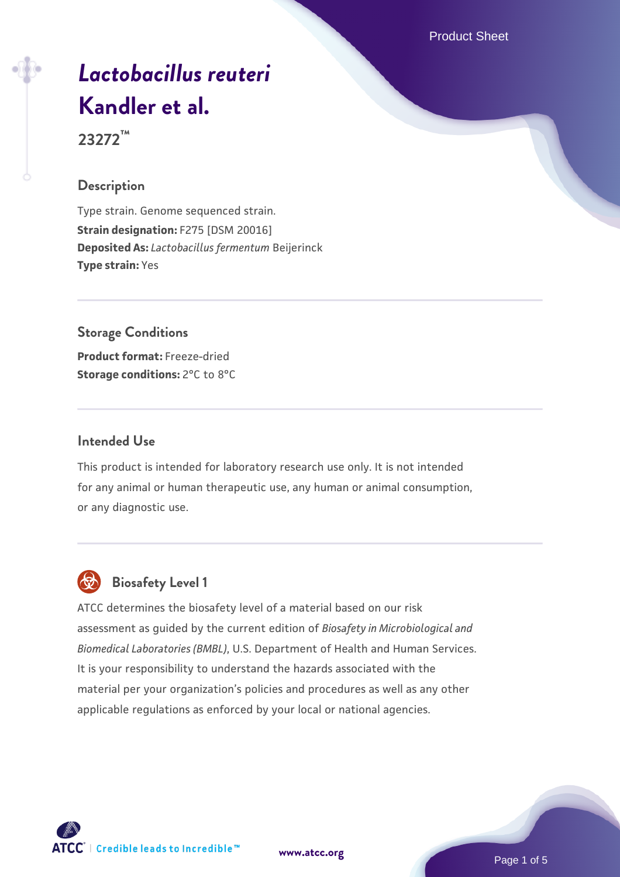Product Sheet

# *[Lactobacillus reuteri](https://www.atcc.org/products/23272)* **[Kandler et al.](https://www.atcc.org/products/23272)**

**23272™**

## **Description**

Type strain. Genome sequenced strain. **Strain designation:** F275 [DSM 20016] **Deposited As:** *Lactobacillus fermentum* Beijerinck **Type strain:** Yes

# **Storage Conditions**

**Product format:** Freeze-dried **Storage conditions:** 2°C to 8°C

## **Intended Use**

This product is intended for laboratory research use only. It is not intended for any animal or human therapeutic use, any human or animal consumption, or any diagnostic use.



# **Biosafety Level 1**

ATCC determines the biosafety level of a material based on our risk assessment as guided by the current edition of *Biosafety in Microbiological and Biomedical Laboratories (BMBL)*, U.S. Department of Health and Human Services. It is your responsibility to understand the hazards associated with the material per your organization's policies and procedures as well as any other applicable regulations as enforced by your local or national agencies.



**[www.atcc.org](http://www.atcc.org)**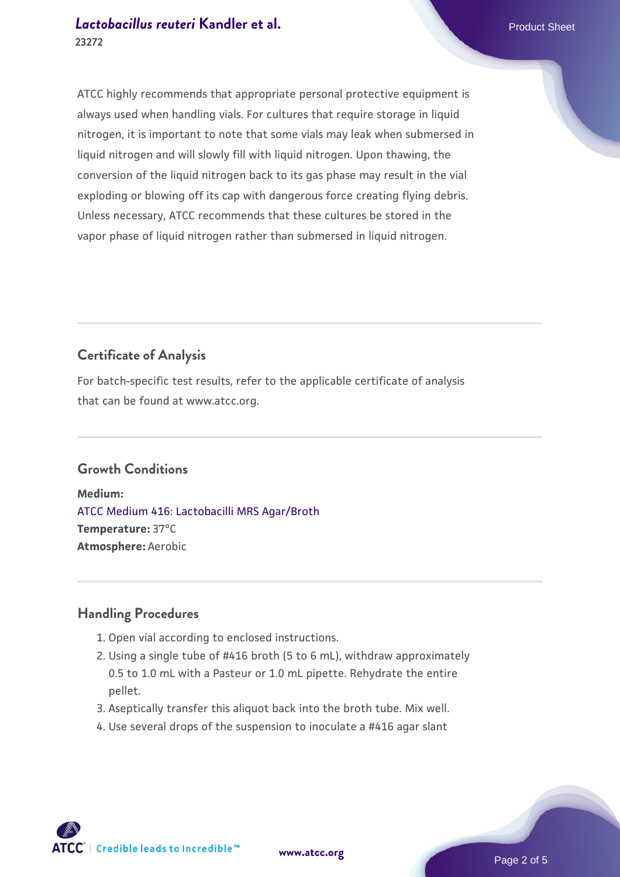ATCC highly recommends that appropriate personal protective equipment is always used when handling vials. For cultures that require storage in liquid nitrogen, it is important to note that some vials may leak when submersed in liquid nitrogen and will slowly fill with liquid nitrogen. Upon thawing, the conversion of the liquid nitrogen back to its gas phase may result in the vial exploding or blowing off its cap with dangerous force creating flying debris. Unless necessary, ATCC recommends that these cultures be stored in the vapor phase of liquid nitrogen rather than submersed in liquid nitrogen.

# **Certificate of Analysis**

For batch-specific test results, refer to the applicable certificate of analysis that can be found at www.atcc.org.

# **Growth Conditions**

**Medium:**  [ATCC Medium 416: Lactobacilli MRS Agar/Broth](https://www.atcc.org/-/media/product-assets/documents/microbial-media-formulations/4/1/6/atcc-medium-416.pdf?rev=b4280b8582cc4389a3bdf40c98a7fa03) **Temperature:** 37°C **Atmosphere:** Aerobic

# **Handling Procedures**

- 1. Open vial according to enclosed instructions.
- 2. Using a single tube of #416 broth (5 to 6 mL), withdraw approximately 0.5 to 1.0 mL with a Pasteur or 1.0 mL pipette. Rehydrate the entire pellet.
- 3. Aseptically transfer this aliquot back into the broth tube. Mix well.
- 4. Use several drops of the suspension to inoculate a #416 agar slant

**ATCC** | Credible leads to Incredible™

**[www.atcc.org](http://www.atcc.org)**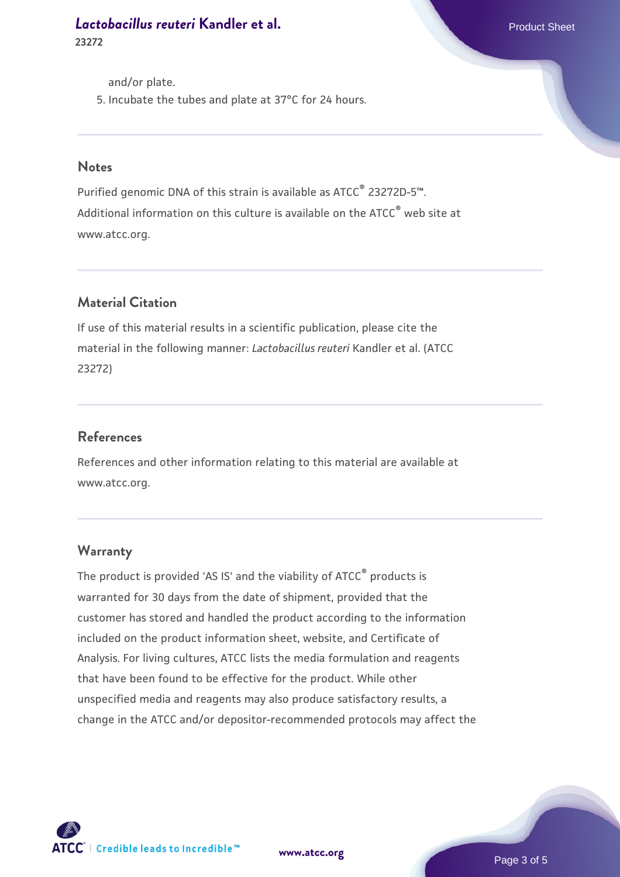and/or plate.

5. Incubate the tubes and plate at 37°C for 24 hours.

#### **Notes**

Purified genomic DNA of this strain is available as ATCC<sup>®</sup> 23272D-5™. Additional information on this culture is available on the ATCC<sup>®</sup> web site at www.atcc.org.

## **Material Citation**

If use of this material results in a scientific publication, please cite the material in the following manner: *Lactobacillus reuteri* Kandler et al. (ATCC 23272)

#### **References**

References and other information relating to this material are available at www.atcc.org.

#### **Warranty**

The product is provided 'AS IS' and the viability of ATCC® products is warranted for 30 days from the date of shipment, provided that the customer has stored and handled the product according to the information included on the product information sheet, website, and Certificate of Analysis. For living cultures, ATCC lists the media formulation and reagents that have been found to be effective for the product. While other unspecified media and reagents may also produce satisfactory results, a change in the ATCC and/or depositor-recommended protocols may affect the

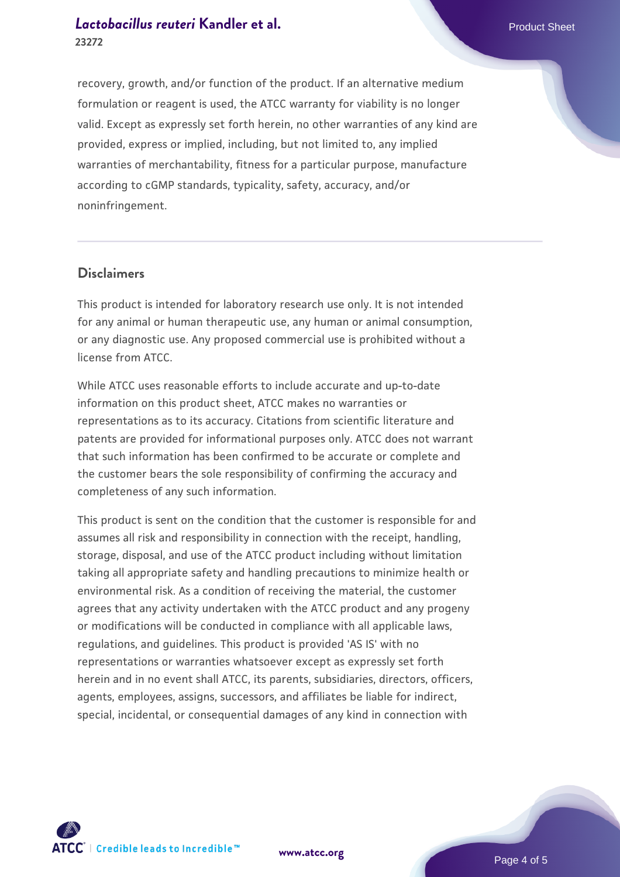recovery, growth, and/or function of the product. If an alternative medium formulation or reagent is used, the ATCC warranty for viability is no longer valid. Except as expressly set forth herein, no other warranties of any kind are provided, express or implied, including, but not limited to, any implied warranties of merchantability, fitness for a particular purpose, manufacture according to cGMP standards, typicality, safety, accuracy, and/or noninfringement.

#### **Disclaimers**

This product is intended for laboratory research use only. It is not intended for any animal or human therapeutic use, any human or animal consumption, or any diagnostic use. Any proposed commercial use is prohibited without a license from ATCC.

While ATCC uses reasonable efforts to include accurate and up-to-date information on this product sheet, ATCC makes no warranties or representations as to its accuracy. Citations from scientific literature and patents are provided for informational purposes only. ATCC does not warrant that such information has been confirmed to be accurate or complete and the customer bears the sole responsibility of confirming the accuracy and completeness of any such information.

This product is sent on the condition that the customer is responsible for and assumes all risk and responsibility in connection with the receipt, handling, storage, disposal, and use of the ATCC product including without limitation taking all appropriate safety and handling precautions to minimize health or environmental risk. As a condition of receiving the material, the customer agrees that any activity undertaken with the ATCC product and any progeny or modifications will be conducted in compliance with all applicable laws, regulations, and guidelines. This product is provided 'AS IS' with no representations or warranties whatsoever except as expressly set forth herein and in no event shall ATCC, its parents, subsidiaries, directors, officers, agents, employees, assigns, successors, and affiliates be liable for indirect, special, incidental, or consequential damages of any kind in connection with



**[www.atcc.org](http://www.atcc.org)**

Page 4 of 5